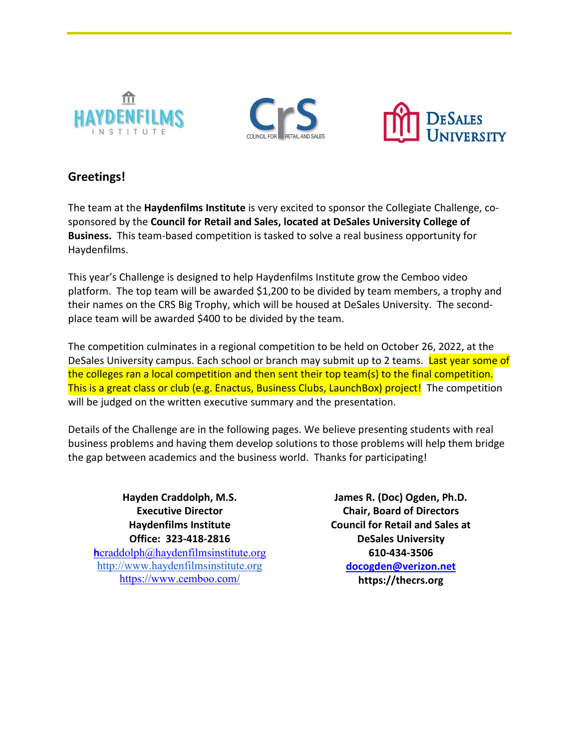





## **Greetings!**

The team at the **Haydenfilms Institute** is very excited to sponsor the Collegiate Challenge, cosponsored by the **Council for Retail and Sales, located at DeSales University College of Business.** This team-based competition is tasked to solve a real business opportunity for Haydenfilms.

This year's Challenge is designed to help Haydenfilms Institute grow the Cemboo video platform. The top team will be awarded \$1,200 to be divided by team members, a trophy and their names on the CRS Big Trophy, which will be housed at DeSales University. The secondplace team will be awarded \$400 to be divided by the team.

The competition culminates in a regional competition to be held on October 26, 2022, at the DeSales University campus. Each school or branch may submit up to 2 teams. Last year some of the colleges ran a local competition and then sent their top team(s) to the final competition. This is a great class or club (e.g. Enactus, Business Clubs, LaunchBox) project! The competition will be judged on the written executive summary and the presentation.

Details of the Challenge are in the following pages. We believe presenting students with real business problems and having them develop solutions to those problems will help them bridge the gap between academics and the business world. Thanks for participating!

**Hayden Craddolph, M.S. Executive Director Haydenfilms Institute Office: 323-418-2816 [h](mailto:hcraddolph@haydenfilmsinstitute.org)**[craddolph@haydenfilmsinstitute.org](mailto:hcraddolph@haydenfilmsinstitute.org) [http://www.haydenfilmsinstitute.org](http://www.haydenfilmsinstitute.org/) <https://www.cemboo.com/>

**James R. (Doc) Ogden, Ph.D. Chair, Board of Directors Council for Retail and Sales at DeSales University 610-434-3506 [docogden@verizon.net](mailto:docogden@verizon.net) https://thecrs.org**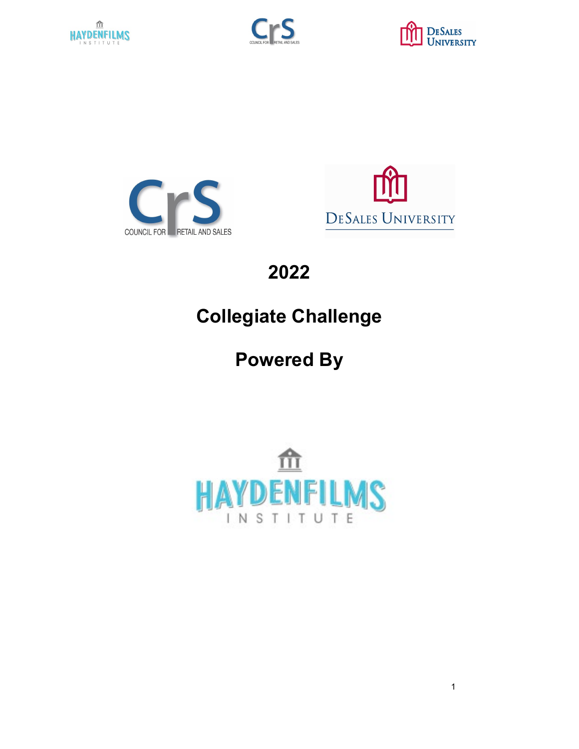









**2022** 

# **Collegiate Challenge**

**Powered By**



<u>1</u> The contract of the contract of the contract of the contract of the contract of the contract of the contract of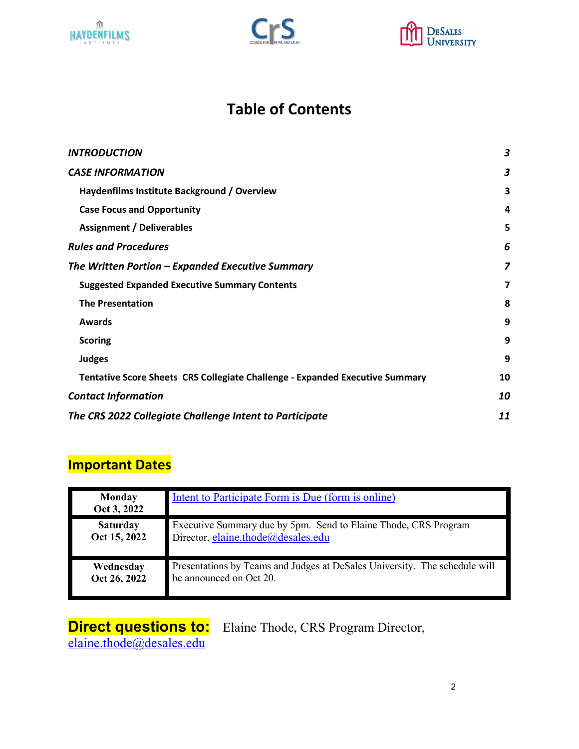





# **Table of Contents**

| <b>INTRODUCTION</b>                                                          | 3  |
|------------------------------------------------------------------------------|----|
| <b>CASE INFORMATION</b>                                                      | 3  |
| Haydenfilms Institute Background / Overview                                  | 3  |
| <b>Case Focus and Opportunity</b>                                            | 4  |
| <b>Assignment / Deliverables</b>                                             | 5  |
| <b>Rules and Procedures</b>                                                  | 6  |
| The Written Portion – Expanded Executive Summary                             | 7  |
| <b>Suggested Expanded Executive Summary Contents</b>                         | 7  |
| <b>The Presentation</b>                                                      | 8  |
| <b>Awards</b>                                                                | 9  |
| <b>Scoring</b>                                                               | 9  |
| <b>Judges</b>                                                                | 9  |
| Tentative Score Sheets CRS Collegiate Challenge - Expanded Executive Summary | 10 |
| <b>Contact Information</b>                                                   | 10 |
| The CRS 2022 Collegiate Challenge Intent to Participate                      | 11 |

# **Important Dates**

| <b>Monday</b><br>Oct 3, 2022 | Intent to Participate Form is Due (form is online)                         |
|------------------------------|----------------------------------------------------------------------------|
| <b>Saturday</b>              | Executive Summary due by 5pm. Send to Elaine Thode, CRS Program            |
| Oct 15, 2022                 | Director, elaine.thode@desales.edu                                         |
| Wednesday                    | Presentations by Teams and Judges at DeSales University. The schedule will |
| Oct 26, 2022                 | be announced on Oct 20.                                                    |

# **Direct questions to:**<br>
<u>elaine.thode@desales.edu</u>

**Direct questions to:** Elaine Thode, CRS Program Director,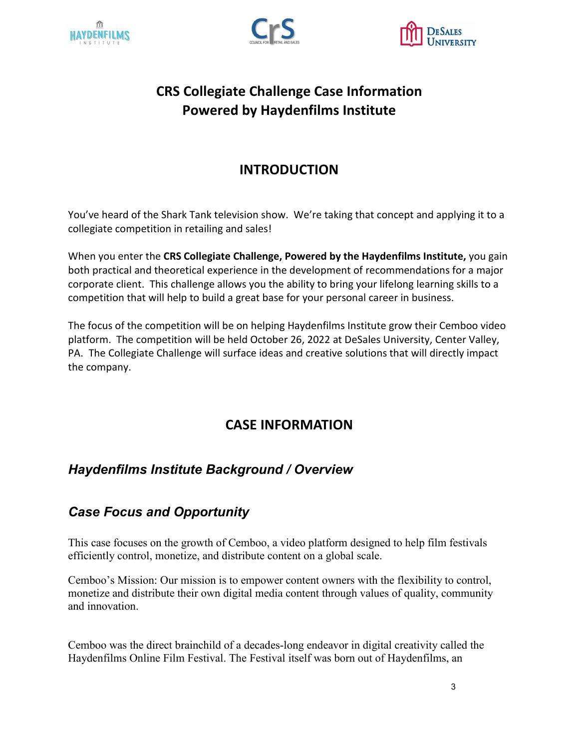





# **CRS Collegiate Challenge Case Information Powered by Haydenfilms Institute**

# **INTRODUCTION**

<span id="page-3-0"></span>You've heard of the Shark Tank television show. We're taking that concept and applying it to a collegiate competition in retailing and sales!

When you enter the **CRS Collegiate Challenge, Powered by the Haydenfilms Institute,** you gain both practical and theoretical experience in the development of recommendations for a major corporate client. This challenge allows you the ability to bring your lifelong learning skills to a competition that will help to build a great base for your personal career in business.

The focus of the competition will be on helping Haydenfilms Institute grow their Cemboo video platform. The competition will be held October 26, 2022 at DeSales University, Center Valley, PA. The Collegiate Challenge will surface ideas and creative solutions that will directly impact the company.

# **CASE INFORMATION**

## <span id="page-3-2"></span><span id="page-3-1"></span>*Haydenfilms Institute Background / Overview*

# <span id="page-3-3"></span>*Case Focus and Opportunity*

This case focuses on the growth of Cemboo, a video platform designed to help film festivals efficiently control, monetize, and distribute content on a global scale.

Cemboo's Mission: Our mission is to empower content owners with the flexibility to control, monetize and distribute their own digital media content through values of quality, community and innovation.

Cemboo was the direct brainchild of a decades-long endeavor in digital creativity called the Haydenfilms Online Film Festival. The Festival itself was born out of Haydenfilms, an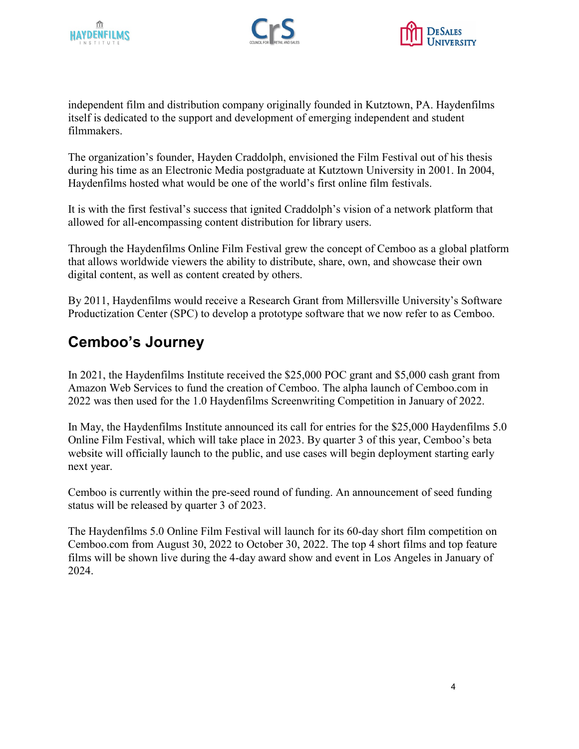





independent film and distribution company originally founded in Kutztown, PA. Haydenfilms itself is dedicated to the support and development of emerging independent and student filmmakers.

The organization's founder, Hayden Craddolph, envisioned the Film Festival out of his thesis during his time as an Electronic Media postgraduate at Kutztown University in 2001. In 2004, Haydenfilms hosted what would be one of the world's first online film festivals.

It is with the first festival's success that ignited Craddolph's vision of a network platform that allowed for all-encompassing content distribution for library users.

Through the Haydenfilms Online Film Festival grew the concept of Cemboo as a global platform that allows worldwide viewers the ability to distribute, share, own, and showcase their own digital content, as well as content created by others.

By 2011, Haydenfilms would receive a Research Grant from Millersville University's Software Productization Center (SPC) to develop a prototype software that we now refer to as Cemboo.

# **Cemboo's Journey**

In 2021, the Haydenfilms Institute received the \$25,000 POC grant and \$5,000 cash grant from Amazon Web Services to fund the creation of Cemboo. The alpha launch of Cemboo.com in 2022 was then used for the 1.0 Haydenfilms Screenwriting Competition in January of 2022.

In May, the Haydenfilms Institute announced its call for entries for the \$25,000 Haydenfilms 5.0 Online Film Festival, which will take place in 2023. By quarter 3 of this year, Cemboo's beta website will officially launch to the public, and use cases will begin deployment starting early next year.

Cemboo is currently within the pre-seed round of funding. An announcement of seed funding status will be released by quarter 3 of 2023.

<span id="page-4-0"></span>The Haydenfilms 5.0 Online Film Festival will launch for its 60-day short film competition on Cemboo.com from August 30, 2022 to October 30, 2022. The top 4 short films and top feature films will be shown live during the 4-day award show and event in Los Angeles in January of 2024.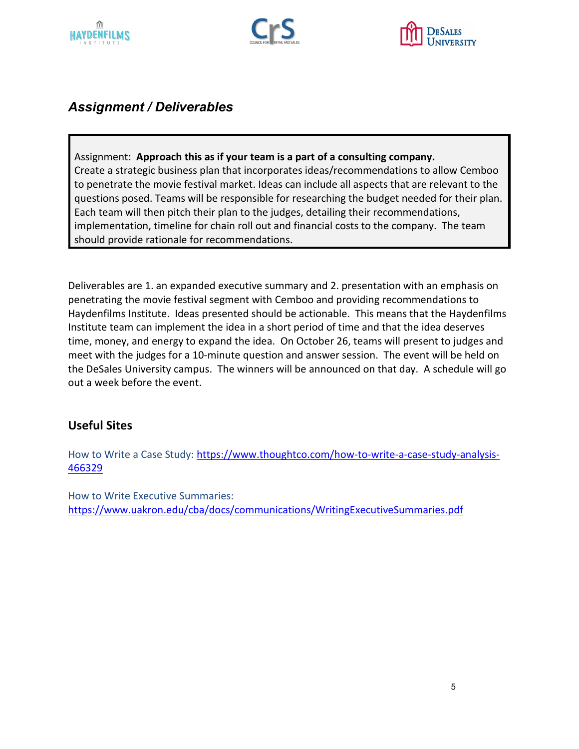





## *Assignment / Deliverables*

Assignment: **Approach this as if your team is a part of a consulting company.**  Create a strategic business plan that incorporates ideas/recommendations to allow Cemboo to penetrate the movie festival market. Ideas can include all aspects that are relevant to the questions posed. Teams will be responsible for researching the budget needed for their plan. Each team will then pitch their plan to the judges, detailing their recommendations, implementation, timeline for chain roll out and financial costs to the company. The team should provide rationale for recommendations.

Deliverables are 1. an expanded executive summary and 2. presentation with an emphasis on penetrating the movie festival segment with Cemboo and providing recommendations to Haydenfilms Institute. Ideas presented should be actionable. This means that the Haydenfilms Institute team can implement the idea in a short period of time and that the idea deserves time, money, and energy to expand the idea. On October 26, teams will present to judges and meet with the judges for a 10-minute question and answer session. The event will be held on the DeSales University campus. The winners will be announced on that day. A schedule will go out a week before the event.

## **Useful Sites**

How to Write a Case Study: [https://www.thoughtco.com/how-to-write-a-case-study-analysis-](https://www.thoughtco.com/how-to-write-a-case-study-analysis-466329)[466329](https://www.thoughtco.com/how-to-write-a-case-study-analysis-466329) 

How to Write Executive Summaries: <https://www.uakron.edu/cba/docs/communications/WritingExecutiveSummaries.pdf>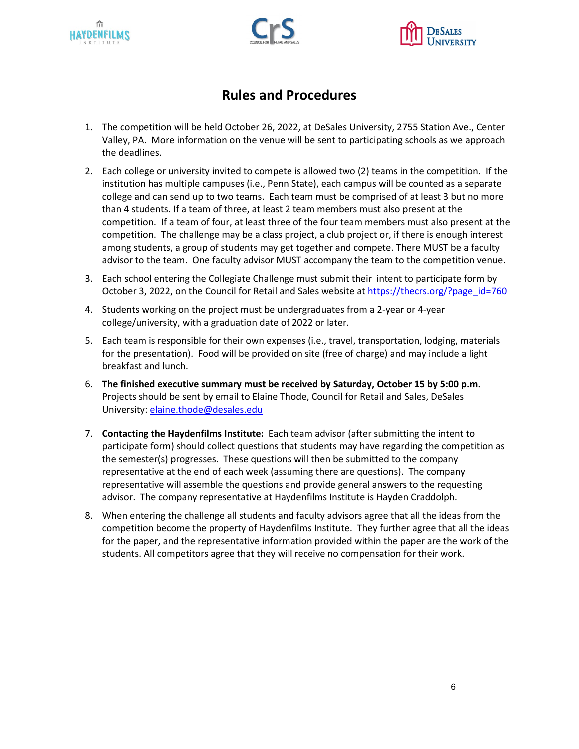





## **Rules and Procedures**

- <span id="page-6-0"></span>1. The competition will be held October 26, 2022, at DeSales University, 2755 Station Ave., Center Valley, PA. More information on the venue will be sent to participating schools as we approach the deadlines.
- 2. Each college or university invited to compete is allowed two (2) teams in the competition. If the institution has multiple campuses (i.e., Penn State), each campus will be counted as a separate college and can send up to two teams. Each team must be comprised of at least 3 but no more than 4 students. If a team of three, at least 2 team members must also present at the competition. If a team of four, at least three of the four team members must also present at the competition. The challenge may be a class project, a club project or, if there is enough interest among students, a group of students may get together and compete. There MUST be a faculty advisor to the team. One faculty advisor MUST accompany the team to the competition venue.
- 3. Each school entering the Collegiate Challenge must submit their intent to participate form by October 3, 2022, on the Council for Retail and Sales website at https://thecrs.org/?page\_id=760
- 4. Students working on the project must be undergraduates from a 2-year or 4-year college/university, with a graduation date of 2022 or later.
- 5. Each team is responsible for their own expenses (i.e., travel, transportation, lodging, materials for the presentation). Food will be provided on site (free of charge) and may include a light breakfast and lunch.
- 6. **The finished executive summary must be received by Saturday, October 15 by 5:00 p.m.**  Projects should be sent by email to Elaine Thode, Council for Retail and Sales, DeSales University[: elaine.thode@desales.edu](mailto:elaine.thode@desales.edu)
- 7. **Contacting the Haydenfilms Institute:** Each team advisor (after submitting the intent to participate form) should collect questions that students may have regarding the competition as the semester(s) progresses. These questions will then be submitted to the company representative at the end of each week (assuming there are questions). The company representative will assemble the questions and provide general answers to the requesting advisor. The company representative at Haydenfilms Institute is Hayden Craddolph.
- 8. When entering the challenge all students and faculty advisors agree that all the ideas from the competition become the property of Haydenfilms Institute. They further agree that all the ideas for the paper, and the representative information provided within the paper are the work of the students. All competitors agree that they will receive no compensation for their work.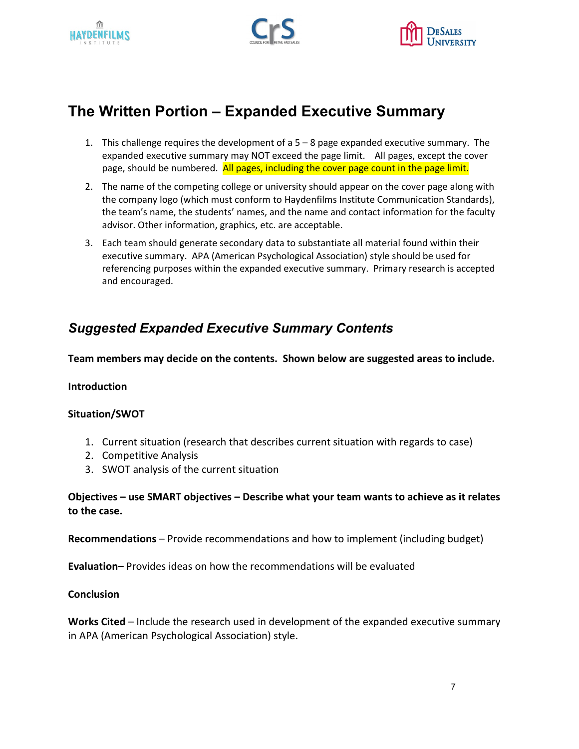





# <span id="page-7-0"></span>**The Written Portion – Expanded Executive Summary**

- 1. This challenge requires the development of a 5 8 page expanded executive summary. The expanded executive summary may NOT exceed the page limit. All pages, except the cover page, should be numbered. All pages, including the cover page count in the page limit.
- 2. The name of the competing college or university should appear on the cover page along with the company logo (which must conform to Haydenfilms Institute Communication Standards), the team's name, the students' names, and the name and contact information for the faculty advisor. Other information, graphics, etc. are acceptable.
- 3. Each team should generate secondary data to substantiate all material found within their executive summary. APA (American Psychological Association) style should be used for referencing purposes within the expanded executive summary. Primary research is accepted and encouraged.

## <span id="page-7-1"></span>*Suggested Expanded Executive Summary Contents*

**Team members may decide on the contents. Shown below are suggested areas to include.**

#### **Introduction**

#### **Situation/SWOT**

- 1. Current situation (research that describes current situation with regards to case)
- 2. Competitive Analysis
- 3. SWOT analysis of the current situation

#### **Objectives – use SMART objectives – Describe what your team wants to achieve as it relates to the case.**

**Recommendations** – Provide recommendations and how to implement (including budget)

**Evaluation**– Provides ideas on how the recommendations will be evaluated

#### **Conclusion**

**Works Cited** – Include the research used in development of the expanded executive summary in APA (American Psychological Association) style.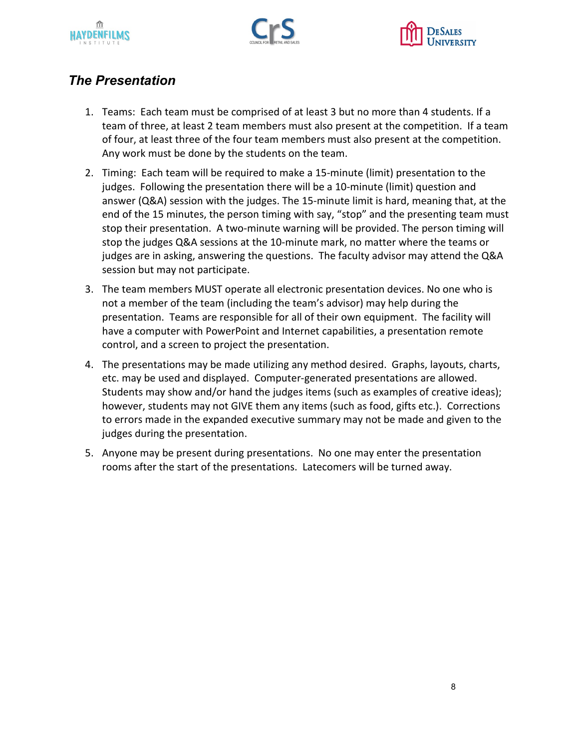





## <span id="page-8-0"></span>*The Presentation*

- 1. Teams: Each team must be comprised of at least 3 but no more than 4 students. If a team of three, at least 2 team members must also present at the competition. If a team of four, at least three of the four team members must also present at the competition. Any work must be done by the students on the team.
- 2. Timing: Each team will be required to make a 15-minute (limit) presentation to the judges. Following the presentation there will be a 10-minute (limit) question and answer (Q&A) session with the judges. The 15-minute limit is hard, meaning that, at the end of the 15 minutes, the person timing with say, "stop" and the presenting team must stop their presentation. A two-minute warning will be provided. The person timing will stop the judges Q&A sessions at the 10-minute mark, no matter where the teams or judges are in asking, answering the questions. The faculty advisor may attend the Q&A session but may not participate.
- 3. The team members MUST operate all electronic presentation devices. No one who is not a member of the team (including the team's advisor) may help during the presentation. Teams are responsible for all of their own equipment. The facility will have a computer with PowerPoint and Internet capabilities, a presentation remote control, and a screen to project the presentation.
- 4. The presentations may be made utilizing any method desired. Graphs, layouts, charts, etc. may be used and displayed. Computer-generated presentations are allowed. Students may show and/or hand the judges items (such as examples of creative ideas); however, students may not GIVE them any items (such as food, gifts etc.). Corrections to errors made in the expanded executive summary may not be made and given to the judges during the presentation.
- 5. Anyone may be present during presentations. No one may enter the presentation rooms after the start of the presentations. Latecomers will be turned away.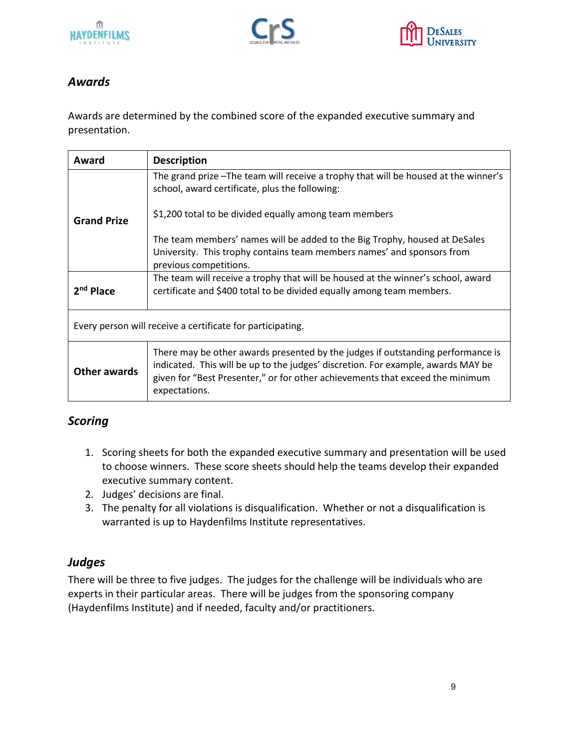





## <span id="page-9-0"></span>*Awards*

Awards are determined by the combined score of the expanded executive summary and presentation.

| Award                                                      | <b>Description</b>                                                                                                                                                                                                                                                    |  |  |  |
|------------------------------------------------------------|-----------------------------------------------------------------------------------------------------------------------------------------------------------------------------------------------------------------------------------------------------------------------|--|--|--|
|                                                            | The grand prize -The team will receive a trophy that will be housed at the winner's<br>school, award certificate, plus the following:                                                                                                                                 |  |  |  |
| <b>Grand Prize</b>                                         | \$1,200 total to be divided equally among team members                                                                                                                                                                                                                |  |  |  |
|                                                            | The team members' names will be added to the Big Trophy, housed at DeSales<br>University. This trophy contains team members names' and sponsors from<br>previous competitions.                                                                                        |  |  |  |
| 2 <sup>nd</sup> Place                                      | The team will receive a trophy that will be housed at the winner's school, award<br>certificate and \$400 total to be divided equally among team members.                                                                                                             |  |  |  |
| Every person will receive a certificate for participating. |                                                                                                                                                                                                                                                                       |  |  |  |
| Other awards                                               | There may be other awards presented by the judges if outstanding performance is<br>indicated. This will be up to the judges' discretion. For example, awards MAY be<br>given for "Best Presenter," or for other achievements that exceed the minimum<br>expectations. |  |  |  |

## <span id="page-9-1"></span>*Scoring*

- 1. Scoring sheets for both the expanded executive summary and presentation will be used to choose winners. These score sheets should help the teams develop their expanded executive summary content.
- 2. Judges' decisions are final.
- 3. The penalty for all violations is disqualification. Whether or not a disqualification is warranted is up to Haydenfilms Institute representatives.

## <span id="page-9-2"></span>*Judges*

There will be three to five judges. The judges for the challenge will be individuals who are experts in their particular areas. There will be judges from the sponsoring company (Haydenfilms Institute) and if needed, faculty and/or practitioners.